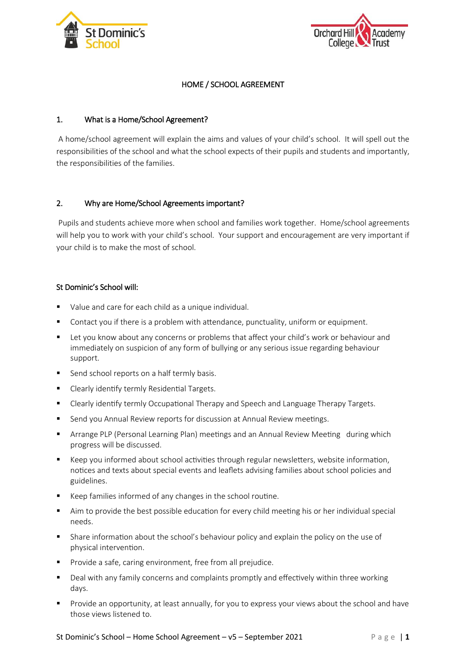



## HOME / SCHOOL AGREEMENT

## 1. What is a Home/School Agreement?

 A home/school agreement will explain the aims and values of your child's school. It will spell out the responsibilities of the school and what the school expects of their pupils and students and importantly, the responsibilities of the families.

## 2. Why are Home/School Agreements important?

 Pupils and students achieve more when school and families work together. Home/school agreements will help you to work with your child's school. Your support and encouragement are very important if your child is to make the most of school.

## St Dominic's School will:

- Value and care for each child as a unique individual.
- Contact you if there is a problem with attendance, punctuality, uniform or equipment.
- Let you know about any concerns or problems that affect your child's work or behaviour and immediately on suspicion of any form of bullying or any serious issue regarding behaviour support.
- Send school reports on a half termly basis.
- **E** Clearly identify termly Residential Targets.
- **EXP** Clearly identify termly Occupational Therapy and Speech and Language Therapy Targets.
- **Send you Annual Review reports for discussion at Annual Review meetings.**
- Arrange PLP (Personal Learning Plan) meetings and an Annual Review Meeting during which progress will be discussed.
- Keep you informed about school activities through regular newsletters, website information, notices and texts about special events and leaflets advising families about school policies and guidelines.
- Keep families informed of any changes in the school routine.
- Aim to provide the best possible education for every child meeting his or her individual special needs.
- Share information about the school's behaviour policy and explain the policy on the use of physical intervention.
- **Provide a safe, caring environment, free from all prejudice.**
- Deal with any family concerns and complaints promptly and effectively within three working days.
- Provide an opportunity, at least annually, for you to express your views about the school and have those views listened to.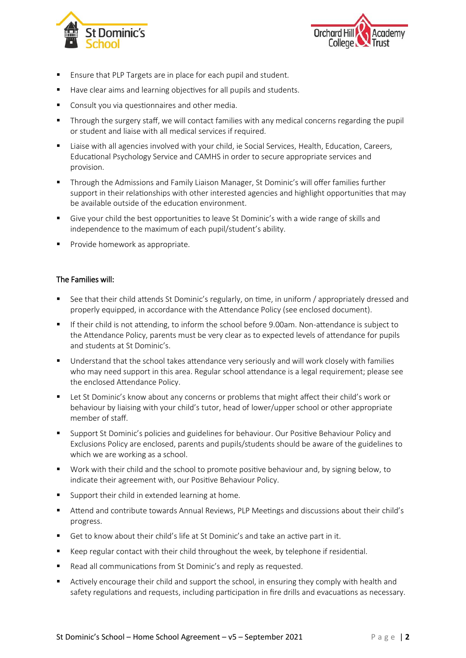



- Ensure that PLP Targets are in place for each pupil and student.
- Have clear aims and learning objectives for all pupils and students.
- **Consult you via questionnaires and other media.**
- Through the surgery staff, we will contact families with any medical concerns regarding the pupil or student and liaise with all medical services if required.
- Liaise with all agencies involved with your child, ie Social Services, Health, Education, Careers, Educational Psychology Service and CAMHS in order to secure appropriate services and provision.
- Through the Admissions and Family Liaison Manager, St Dominic's will offer families further support in their relationships with other interested agencies and highlight opportunities that may be available outside of the education environment.
- Give your child the best opportunities to leave St Dominic's with a wide range of skills and independence to the maximum of each pupil/student's ability.
- **Provide homework as appropriate.**

#### The Families will:

- See that their child attends St Dominic's regularly, on time, in uniform / appropriately dressed and properly equipped, in accordance with the Attendance Policy (see enclosed document).
- If their child is not attending, to inform the school before 9.00am. Non-attendance is subject to the Attendance Policy, parents must be very clear as to expected levels of attendance for pupils and students at St Dominic's.
- Understand that the school takes attendance very seriously and will work closely with families who may need support in this area. Regular school attendance is a legal requirement; please see the enclosed Attendance Policy.
- **EXECT A** Let St Dominic's know about any concerns or problems that might affect their child's work or behaviour by liaising with your child's tutor, head of lower/upper school or other appropriate member of staff.
- Support St Dominic's policies and guidelines for behaviour. Our Positive Behaviour Policy and Exclusions Policy are enclosed, parents and pupils/students should be aware of the guidelines to which we are working as a school.
- Work with their child and the school to promote positive behaviour and, by signing below, to indicate their agreement with, our Positive Behaviour Policy.
- Support their child in extended learning at home.
- Attend and contribute towards Annual Reviews, PLP Meetings and discussions about their child's progress.
- Get to know about their child's life at St Dominic's and take an active part in it.
- Keep regular contact with their child throughout the week, by telephone if residential.
- Read all communications from St Dominic's and reply as requested.
- Actively encourage their child and support the school, in ensuring they comply with health and safety regulations and requests, including participation in fire drills and evacuations as necessary.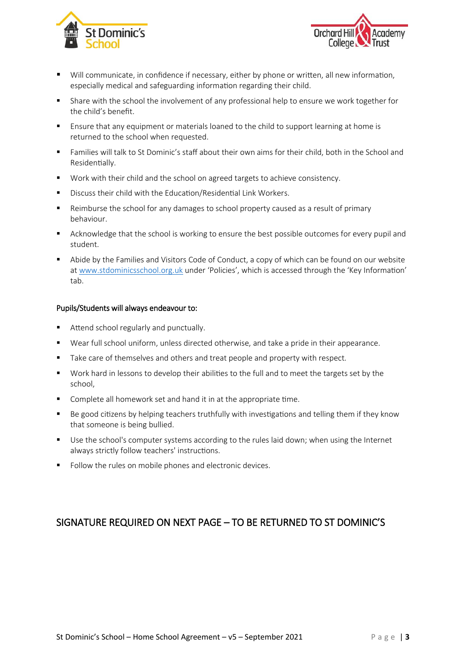



- Will communicate, in confidence if necessary, either by phone or written, all new information, especially medical and safeguarding information regarding their child.
- Share with the school the involvement of any professional help to ensure we work together for the child's benefit.
- Ensure that any equipment or materials loaned to the child to support learning at home is returned to the school when requested.
- Families will talk to St Dominic's staff about their own aims for their child, both in the School and Residentially.
- Work with their child and the school on agreed targets to achieve consistency.
- Discuss their child with the Education/Residential Link Workers.
- Reimburse the school for any damages to school property caused as a result of primary behaviour.
- **EXECT** Acknowledge that the school is working to ensure the best possible outcomes for every pupil and student.
- Abide by the Families and Visitors Code of Conduct, a copy of which can be found on our website at [www.stdominicsschool.org.uk](http://www.stdominicsschool.org.uk/) under 'Policies', which is accessed through the 'Key Information' tab.

#### Pupils/Students will always endeavour to:

- Attend school regularly and punctually.
- Wear full school uniform, unless directed otherwise, and take a pride in their appearance.
- Take care of themselves and others and treat people and property with respect.
- Work hard in lessons to develop their abilities to the full and to meet the targets set by the school,
- Complete all homework set and hand it in at the appropriate time.
- Be good citizens by helping teachers truthfully with investigations and telling them if they know that someone is being bullied.
- Use the school's computer systems according to the rules laid down; when using the Internet always strictly follow teachers' instructions.
- Follow the rules on mobile phones and electronic devices.

# SIGNATURE REQUIRED ON NEXT PAGE – TO BE RETURNED TO ST DOMINIC'S